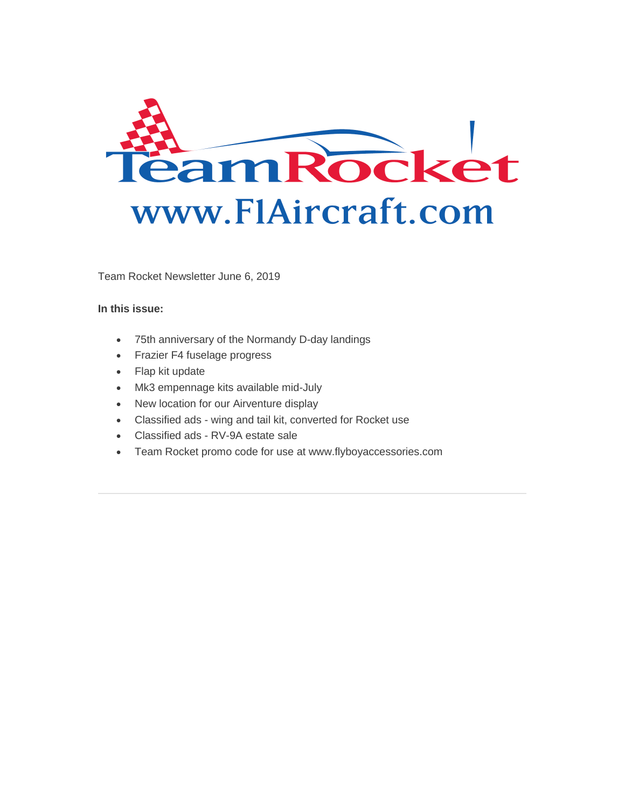

Team Rocket Newsletter June 6, 2019

#### **In this issue:**

- 75th anniversary of the Normandy D-day landings
- Frazier F4 fuselage progress
- Flap kit update
- Mk3 empennage kits available mid-July
- New location for our Airventure display
- Classified ads wing and tail kit, converted for Rocket use
- Classified ads RV-9A estate sale
- Team Rocket promo code for use at www.flyboyaccessories.com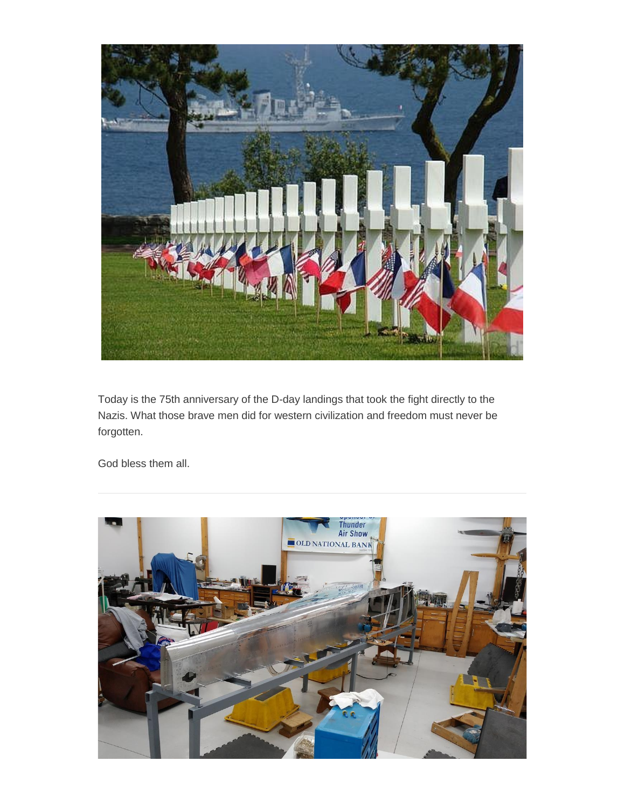

Today is the 75th anniversary of the D-day landings that took the fight directly to the Nazis. What those brave men did for western civilization and freedom must never be forgotten.

God bless them all.

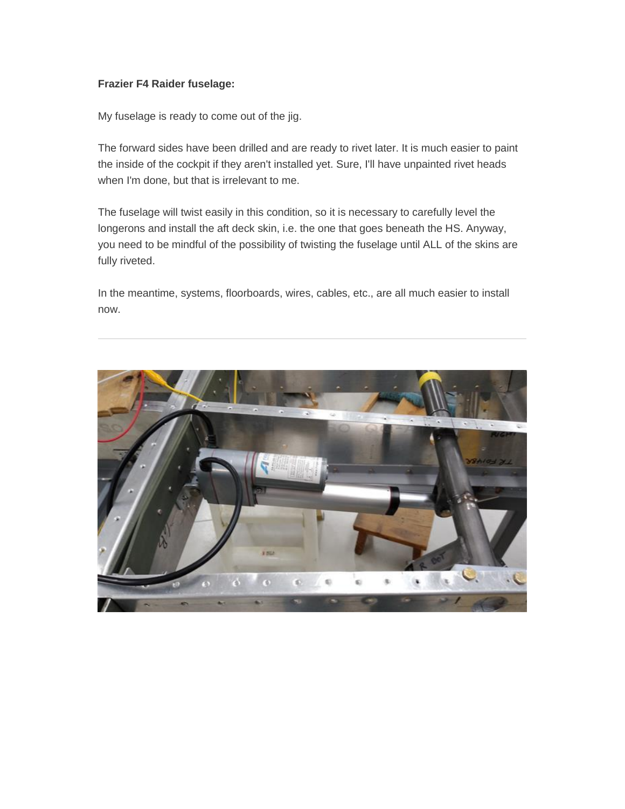## **Frazier F4 Raider fuselage:**

My fuselage is ready to come out of the jig.

The forward sides have been drilled and are ready to rivet later. It is much easier to paint the inside of the cockpit if they aren't installed yet. Sure, I'll have unpainted rivet heads when I'm done, but that is irrelevant to me.

The fuselage will twist easily in this condition, so it is necessary to carefully level the longerons and install the aft deck skin, i.e. the one that goes beneath the HS. Anyway, you need to be mindful of the possibility of twisting the fuselage until ALL of the skins are fully riveted.

In the meantime, systems, floorboards, wires, cables, etc., are all much easier to install now.

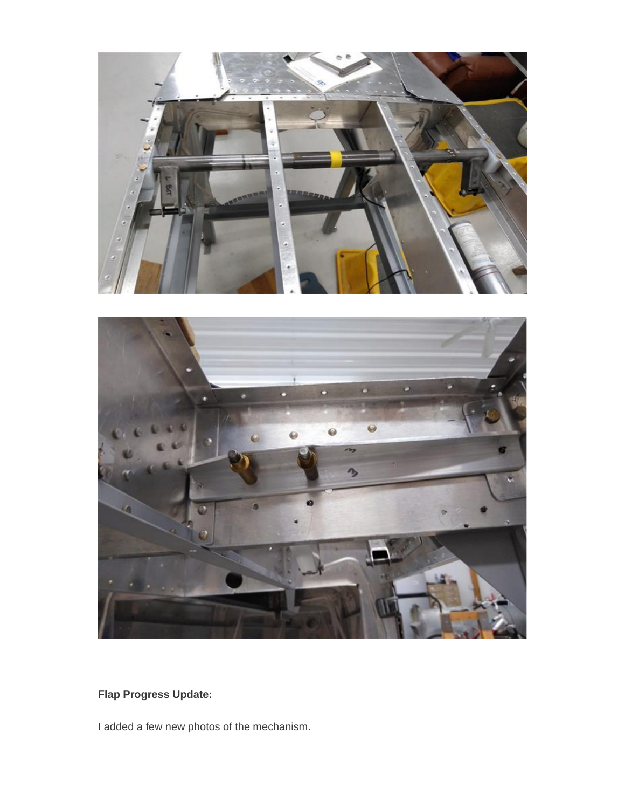



**Flap Progress Update:**

I added a few new photos of the mechanism.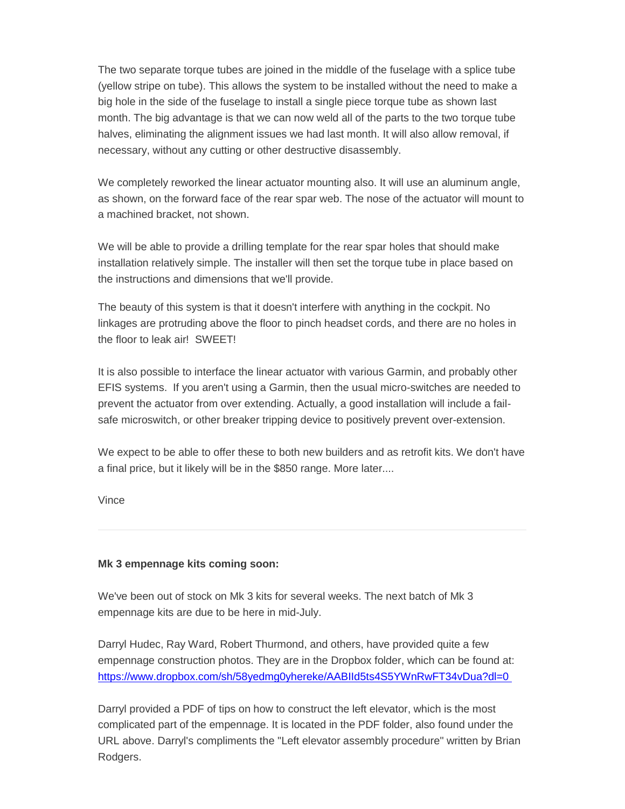The two separate torque tubes are joined in the middle of the fuselage with a splice tube (yellow stripe on tube). This allows the system to be installed without the need to make a big hole in the side of the fuselage to install a single piece torque tube as shown last month. The big advantage is that we can now weld all of the parts to the two torque tube halves, eliminating the alignment issues we had last month. It will also allow removal, if necessary, without any cutting or other destructive disassembly.

We completely reworked the linear actuator mounting also. It will use an aluminum angle, as shown, on the forward face of the rear spar web. The nose of the actuator will mount to a machined bracket, not shown.

We will be able to provide a drilling template for the rear spar holes that should make installation relatively simple. The installer will then set the torque tube in place based on the instructions and dimensions that we'll provide.

The beauty of this system is that it doesn't interfere with anything in the cockpit. No linkages are protruding above the floor to pinch headset cords, and there are no holes in the floor to leak air! SWEET!

It is also possible to interface the linear actuator with various Garmin, and probably other EFIS systems. If you aren't using a Garmin, then the usual micro-switches are needed to prevent the actuator from over extending. Actually, a good installation will include a failsafe microswitch, or other breaker tripping device to positively prevent over-extension.

We expect to be able to offer these to both new builders and as retrofit kits. We don't have a final price, but it likely will be in the \$850 range. More later....

Vince

# **Mk 3 empennage kits coming soon:**

We've been out of stock on Mk 3 kits for several weeks. The next batch of Mk 3 empennage kits are due to be here in mid-July.

Darryl Hudec, Ray Ward, Robert Thurmond, and others, have provided quite a few empennage construction photos. They are in the Dropbox folder, which can be found at: [https://www.dropbox.com/sh/58yedmg0yhereke/AABIId5ts4S5YWnRwFT34vDua?dl=0](http://f1aircraft.benchurl.com/c/l?u=8D3AA0B&e=E67F2A&c=E356B&t=1&l=25BB2F93&email=kz%2BKsw%2B6USZnnFxJrlykgiQbCF10flyCBJcAT8xErqg%3D&seq=1)

Darryl provided a PDF of tips on how to construct the left elevator, which is the most complicated part of the empennage. It is located in the PDF folder, also found under the URL above. Darryl's compliments the "Left elevator assembly procedure" written by Brian Rodgers.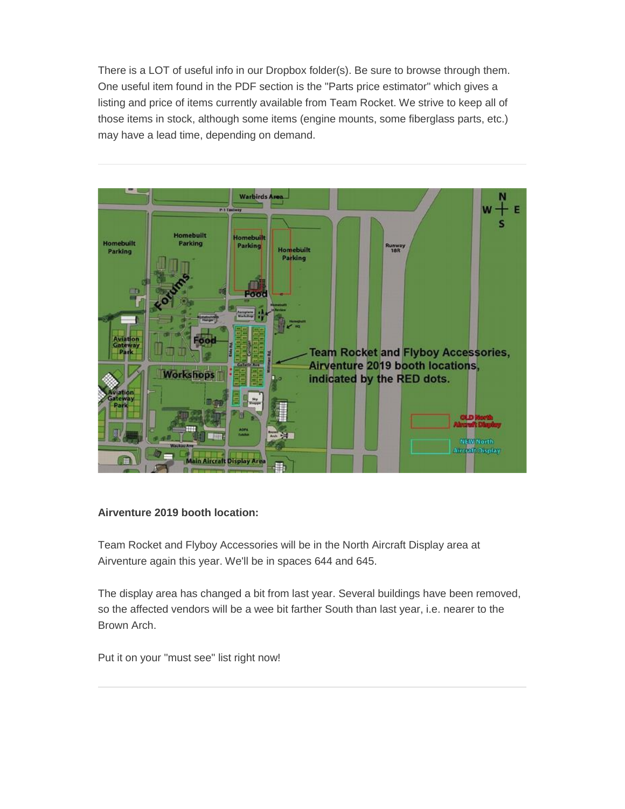There is a LOT of useful info in our Dropbox folder(s). Be sure to browse through them. One useful item found in the PDF section is the "Parts price estimator" which gives a listing and price of items currently available from Team Rocket. We strive to keep all of those items in stock, although some items (engine mounts, some fiberglass parts, etc.) may have a lead time, depending on demand.



# **Airventure 2019 booth location:**

Team Rocket and Flyboy Accessories will be in the North Aircraft Display area at Airventure again this year. We'll be in spaces 644 and 645.

The display area has changed a bit from last year. Several buildings have been removed, so the affected vendors will be a wee bit farther South than last year, i.e. nearer to the Brown Arch.

Put it on your "must see" list right now!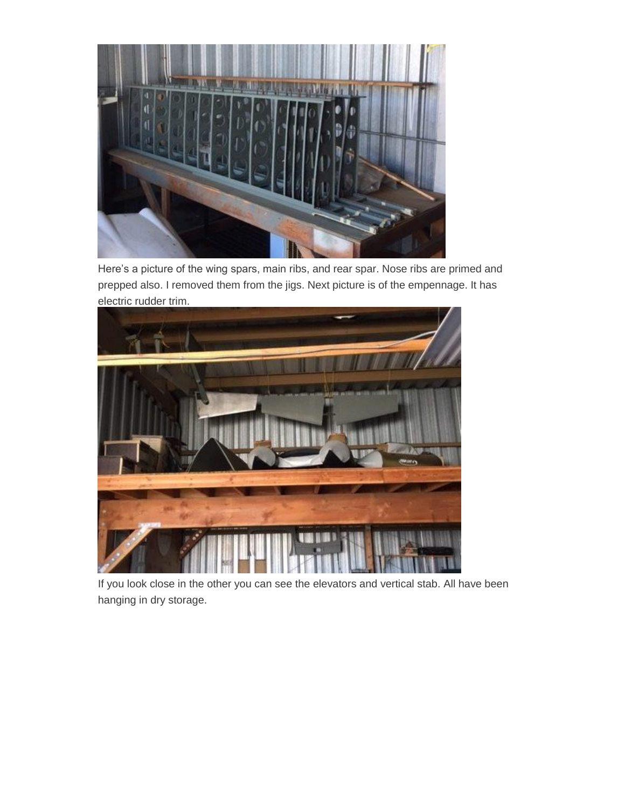

Here's a picture of the wing spars, main ribs, and rear spar. Nose ribs are primed and prepped also. I removed them from the jigs. Next picture is of the empennage. It has electric rudder trim.



If you look close in the other you can see the elevators and vertical stab. All have been hanging in dry storage.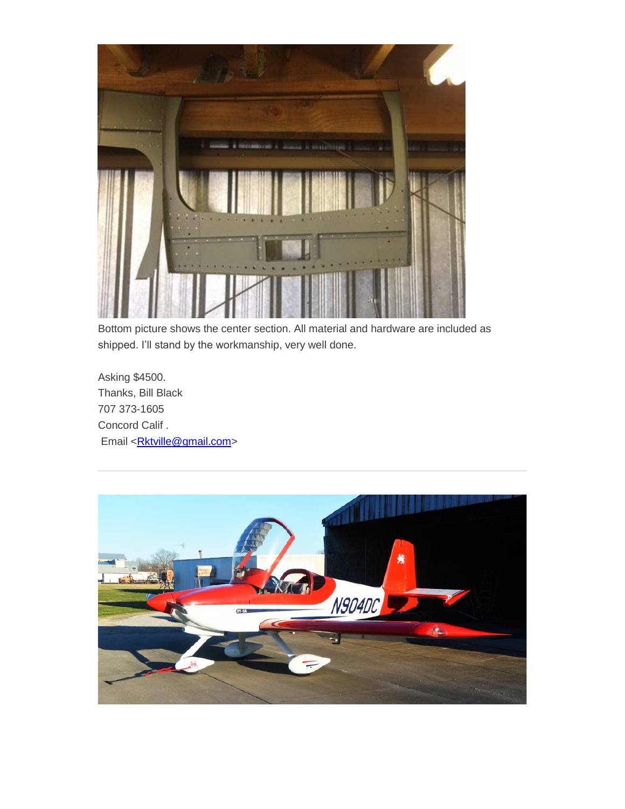

Bottom picture shows the center section. All material and hardware are included as shipped. I'll stand by the workmanship, very well done.

Asking \$4500. Thanks, Bill Black 707 373-1605 Concord Calif . Email [<Rktville@gmail.com>](mailto:Rktville@gmail.com)

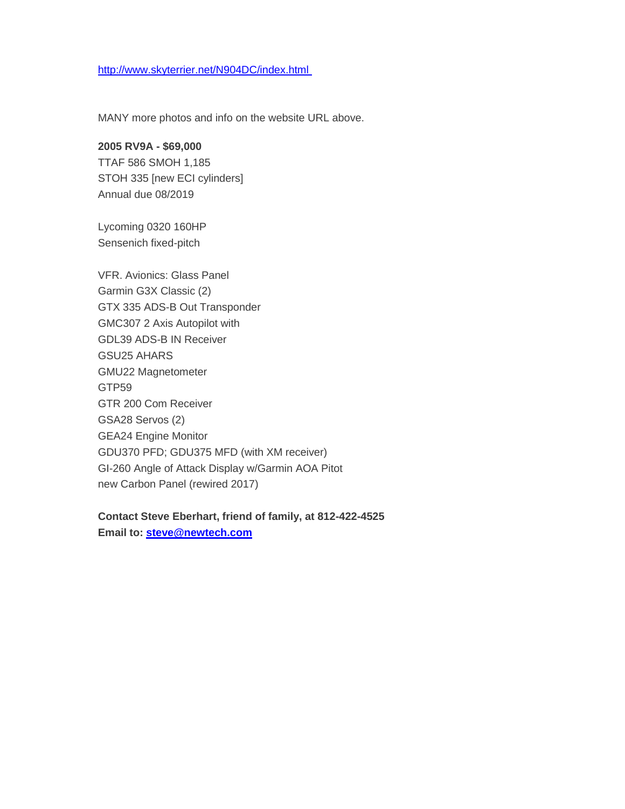## [http://www.skyterrier.net/N904DC/index.html](http://f1aircraft.benchurl.com/c/l?u=8D39158&e=E67F2A&c=E356B&t=1&l=25BB2F93&email=kz%2BKsw%2B6USZnnFxJrlykgiQbCF10flyCBJcAT8xErqg%3D&seq=1)

MANY more photos and info on the website URL above.

#### **2005 RV9A - \$69,000**

TTAF 586 SMOH 1,185 STOH 335 [new ECI cylinders] Annual due 08/2019

Lycoming 0320 160HP Sensenich fixed-pitch

VFR. Avionics: Glass Panel Garmin G3X Classic (2) GTX 335 ADS-B Out Transponder GMC307 2 Axis Autopilot with GDL39 ADS-B IN Receiver GSU25 AHARS GMU22 Magnetometer GTP59 GTR 200 Com Receiver GSA28 Servos (2) GEA24 Engine Monitor GDU370 PFD; GDU375 MFD (with XM receiver) GI-260 Angle of Attack Display w/Garmin AOA Pitot new Carbon Panel (rewired 2017)

# **Contact Steve Eberhart, friend of family, at 812-422-4525**

**Email to: [steve@newtech.com](http://f1aircraft.benchurl.com/c/l?u=8D39159&e=E67F2A&c=E356B&t=1&l=25BB2F93&email=kz%2BKsw%2B6USZnnFxJrlykgiQbCF10flyCBJcAT8xErqg%3D&seq=1)**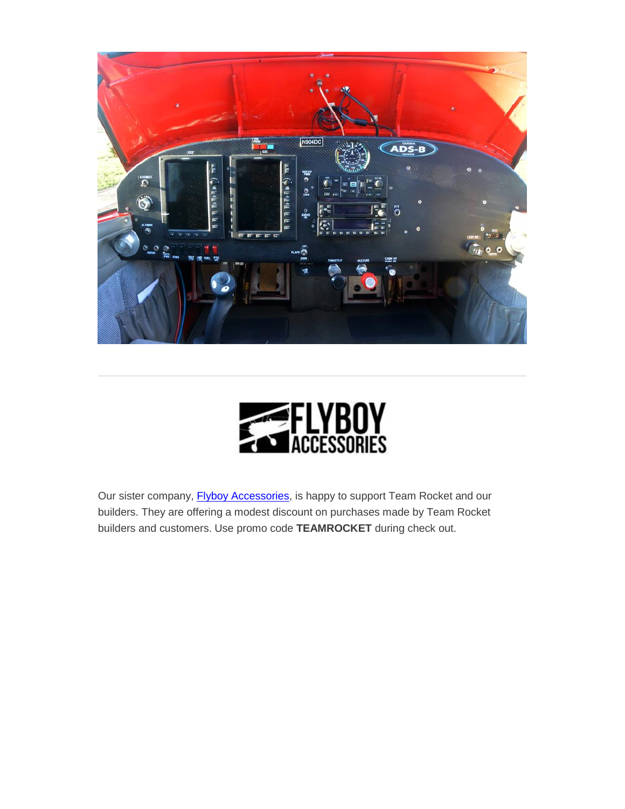



Our sister company, **Flyboy Accessories**, is happy to support Team Rocket and our builders. They are offering a modest discount on purchases made by Team Rocket builders and customers. Use promo code **TEAMROCKET** during check out.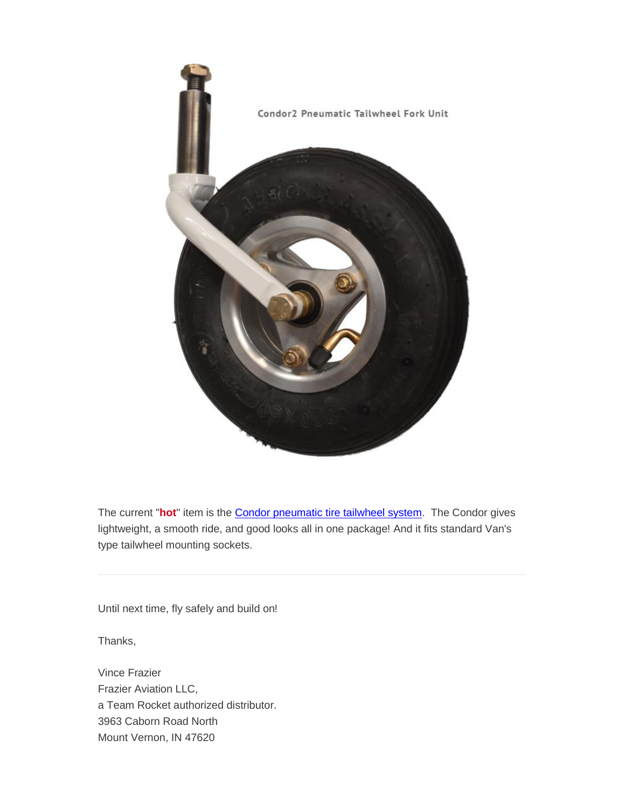

The current "**hot**" item is the [Condor pneumatic tire tailwheel system.](http://f1aircraft.benchurl.com/c/l?u=8D45BD9&e=E67F2A&c=E356B&t=1&l=25BB2F93&email=kz%2BKsw%2B6USZnnFxJrlykgiQbCF10flyCBJcAT8xErqg%3D&seq=1) The Condor gives lightweight, a smooth ride, and good looks all in one package! And it fits standard Van's type tailwheel mounting sockets.

Until next time, fly safely and build on!

Thanks,

Vince Frazier Frazier Aviation LLC, a Team Rocket authorized distributor. 3963 Caborn Road North Mount Vernon, IN 47620